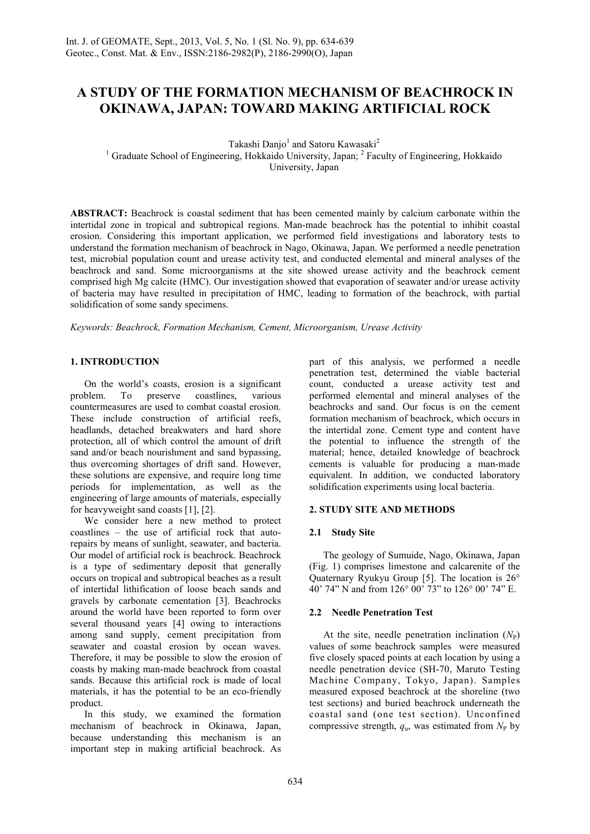# **A STUDY OF THE FORMATION MECHANISM OF BEACHROCK IN OKINAWA, JAPAN: TOWARD MAKING ARTIFICIAL ROCK**

Takashi Danjo<sup>1</sup> and Satoru Kawasaki<sup>2</sup> <sup>1</sup> Graduate School of Engineering, Hokkaido University, Japan; <sup>2</sup> Faculty of Engineering, Hokkaido

University, Japan

**ABSTRACT:** Beachrock is coastal sediment that has been cemented mainly by calcium carbonate within the intertidal zone in tropical and subtropical regions. Man-made beachrock has the potential to inhibit coastal erosion. Considering this important application, we performed field investigations and laboratory tests to understand the formation mechanism of beachrock in Nago, Okinawa, Japan. We performed a needle penetration test, microbial population count and urease activity test, and conducted elemental and mineral analyses of the beachrock and sand. Some microorganisms at the site showed urease activity and the beachrock cement comprised high Mg calcite (HMC). Our investigation showed that evaporation of seawater and/or urease activity of bacteria may have resulted in precipitation of HMC, leading to formation of the beachrock, with partial solidification of some sandy specimens.

*Keywords: Beachrock, Formation Mechanism, Cement, Microorganism, Urease Activity* 

# **1. INTRODUCTION**

On the world's coasts, erosion is a significant<br>blem. To preserve coastlines, various problem. To preserve coastlines, various countermeasures are used to combat coastal erosion. These include construction of artificial reefs, headlands, detached breakwaters and hard shore protection, all of which control the amount of drift sand and/or beach nourishment and sand bypassing, thus overcoming shortages of drift sand. However, these solutions are expensive, and require long time periods for implementation, as well as the engineering of large amounts of materials, especially for heavyweight sand coasts [1], [2].

We consider here a new method to protect coastlines – the use of artificial rock that autorepairs by means of sunlight, seawater, and bacteria. Our model of artificial rock is beachrock. Beachrock is a type of sedimentary deposit that generally occurs on tropical and subtropical beaches as a result of intertidal lithification of loose beach sands and gravels by carbonate cementation [3]. Beachrocks around the world have been reported to form over several thousand years [4] owing to interactions among sand supply, cement precipitation from seawater and coastal erosion by ocean waves. Therefore, it may be possible to slow the erosion of coasts by making man-made beachrock from coastal sands. Because this artificial rock is made of local materials, it has the potential to be an eco-friendly product.

In this study, we examined the formation mechanism of beachrock in Okinawa, Japan, because understanding this mechanism is an important step in making artificial beachrock. As part of this analysis, we performed a needle penetration test, determined the viable bacterial count, conducted a urease activity test and performed elemental and mineral analyses of the beachrocks and sand. Our focus is on the cement formation mechanism of beachrock, which occurs in the intertidal zone. Cement type and content have the potential to influence the strength of the material; hence, detailed knowledge of beachrock cements is valuable for producing a man-made equivalent. In addition, we conducted laboratory solidification experiments using local bacteria.

# **2. STUDY SITE AND METHODS**

# **2.1 Study Site**

The geology of Sumuide, Nago, Okinawa, Japan (Fig. 1) comprises limestone and calcarenite of the Quaternary Ryukyu Group [5]. The location is 26° 40' 74" N and from 126° 00' 73" to 126° 00' 74" E.

# **2.2 Needle Penetration Test**

At the site, needle penetration inclination  $(N_P)$ values of some beachrock samples were measured five closely spaced points at each location by using a needle penetration device (SH-70, Maruto Testing Machine Company, Tokyo, Japan). Samples measured exposed beachrock at the shoreline (two test sections) and buried beachrock underneath the coastal sand (one test section). Unconfined compressive strength,  $q_u$ , was estimated from  $N_P$  by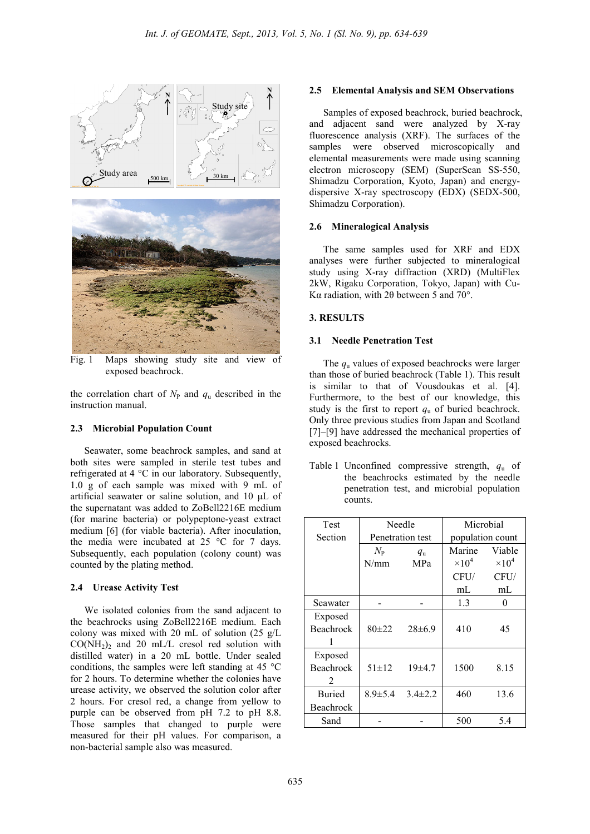

Fig. 1 Maps showing study site and view of exposed beachrock.

the correlation chart of  $N_{\rm P}$  and  $q_{\rm u}$  described in the instruction manual.

## **2.3 Microbial Population Count**

Seawater, some beachrock samples, and sand at both sites were sampled in sterile test tubes and refrigerated at 4 °C in our laboratory. Subsequently, 1.0 g of each sample was mixed with 9 mL of artificial seawater or saline solution, and 10 µL of the supernatant was added to ZoBell2216E medium (for marine bacteria) or polypeptone-yeast extract medium [6] (for viable bacteria). After inoculation, the media were incubated at 25 °C for 7 days. Subsequently, each population (colony count) was counted by the plating method.

#### **2.4 Urease Activity Test**

We isolated colonies from the sand adjacent to the beachrocks using ZoBell2216E medium. Each colony was mixed with 20 mL of solution (25 g/L  $CO(NH<sub>2</sub>)<sub>2</sub>$  and 20 mL/L cresol red solution with distilled water) in a 20 mL bottle. Under sealed conditions, the samples were left standing at 45 °C for 2 hours. To determine whether the colonies have urease activity, we observed the solution color after 2 hours. For cresol red, a change from yellow to purple can be observed from pH 7.2 to pH 8.8. Those samples that changed to purple were measured for their pH values. For comparison, a non-bacterial sample also was measured.

#### **2.5 Elemental Analysis and SEM Observations**

Samples of exposed beachrock, buried beachrock, and adjacent sand were analyzed by X-ray fluorescence analysis (XRF). The surfaces of the samples were observed microscopically and elemental measurements were made using scanning electron microscopy (SEM) (SuperScan SS-550, Shimadzu Corporation, Kyoto, Japan) and energydispersive X-ray spectroscopy (EDX) (SEDX-500, Shimadzu Corporation).

#### **2.6 Mineralogical Analysis**

The same samples used for XRF and EDX analyses were further subjected to mineralogical study using X-ray diffraction (XRD) (MultiFlex 2kW, Rigaku Corporation, Tokyo, Japan) with Cu-Kα radiation, with 2θ between 5 and 70°.

#### **3. RESULTS**

#### **3.1 Needle Penetration Test**

The *q*u values of exposed beachrocks were larger than those of buried beachrock (Table 1). This result is similar to that of Vousdoukas et al. [4]. Furthermore, to the best of our knowledge, this study is the first to report  $q_u$  of buried beachrock. Only three previous studies from Japan and Scotland [7]–[9] have addressed the mechanical properties of exposed beachrocks.

Table 1 Unconfined compressive strength, *q*u of the beachrocks estimated by the needle penetration test, and microbial population counts.

| <b>Test</b>      | Needle           |               | Microbial        |               |
|------------------|------------------|---------------|------------------|---------------|
| Section          | Penetration test |               | population count |               |
|                  | $N_{\rm P}$      | $q_{\rm u}$   | Marine           | Viable        |
|                  | N/mm             | MPa           | $\times 10^4$    | $\times 10^4$ |
|                  |                  |               | CFU/             | CFU/          |
|                  |                  |               | mL               | mL            |
| Seawater         |                  |               | 1.3              | 0             |
| Exposed          |                  |               |                  |               |
| <b>Beachrock</b> | $80+22$          | $28\pm 6.9$   | 410              | 45            |
|                  |                  |               |                  |               |
| Exposed          |                  |               |                  |               |
| <b>Beachrock</b> | $51 \pm 12$      | 19±4.7        | 1500             | 8.15          |
| 2                |                  |               |                  |               |
| <b>Buried</b>    | $8.9 \pm 5.4$    | $3.4 \pm 2.2$ | 460              | 13.6          |
| Beachrock        |                  |               |                  |               |
| Sand             |                  |               | 500              | 5.4           |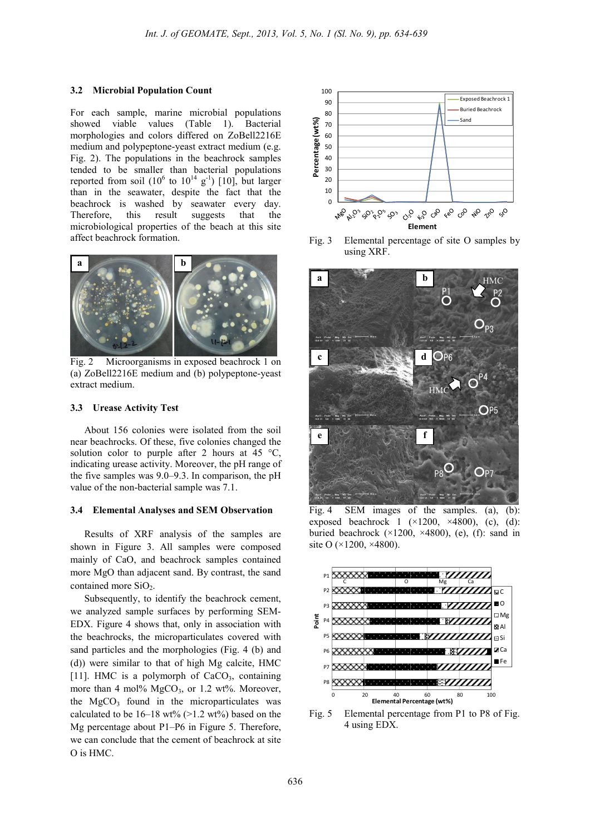#### **3.2 Microbial Population Count**

For each sample, marine microbial populations showed viable values (Table 1). Bacterial morphologies and colors differed on ZoBell2216E medium and polypeptone-yeast extract medium (e.g. Fig. 2). The populations in the beachrock samples tended to be smaller than bacterial populations reported from soil  $(10^6 \text{ to } 10^{14} \text{ g}^{-1})$  [10], but larger than in the seawater, despite the fact that the beachrock is washed by seawater every day. Therefore, this result suggests that the microbiological properties of the beach at this site affect beachrock formation.



Fig. 2 Microorganisms in exposed beachrock 1 on (a) ZoBell2216E medium and (b) polypeptone-yeast extract medium.

#### **3.3 Urease Activity Test**

About 156 colonies were isolated from the soil near beachrocks. Of these, five colonies changed the solution color to purple after 2 hours at  $45^{\circ}$ C. indicating urease activity. Moreover, the pH range of the five samples was 9.0–9.3. In comparison, the pH value of the non-bacterial sample was 7.1.

#### **3.4 Elemental Analyses and SEM Observation**

Results of XRF analysis of the samples are shown in Figure 3. All samples were composed mainly of CaO, and beachrock samples contained more MgO than adjacent sand. By contrast, the sand contained more  $SiO<sub>2</sub>$ .

Subsequently, to identify the beachrock cement, we analyzed sample surfaces by performing SEM-EDX. Figure 4 shows that, only in association with the beachrocks, the microparticulates covered with sand particles and the morphologies (Fig. 4 (b) and (d)) were similar to that of high Mg calcite, HMC [11]. HMC is a polymorph of  $CaCO<sub>3</sub>$ , containing more than 4 mol%  $MgCO<sub>3</sub>$ , or 1.2 wt%. Moreover, the  $MgCO<sub>3</sub>$  found in the microparticulates was calculated to be  $16-18$  wt%  $(>1.2$  wt%) based on the Mg percentage about P1–P6 in Figure 5. Therefore, we can conclude that the cement of beachrock at site O is HMC.



Fig. 3 Elemental percentage of site O samples by using XRF.



Fig. 4 SEM images of the samples. (a), (b): exposed beachrock 1  $(\times 1200, \times 4800)$ , (c), (d): buried beachrock  $(\times 1200, \times 4800)$ , (e), (f): sand in site O (×1200, ×4800).



Fig. 5 Elemental percentage from P1 to P8 of Fig. 4 using EDX.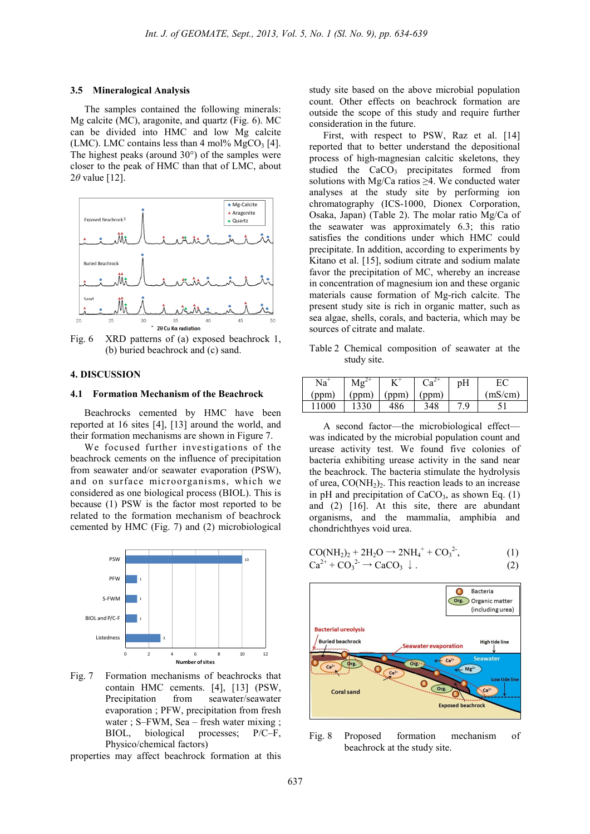#### **3.5 Mineralogical Analysis**

The samples contained the following minerals: Mg calcite (MC), aragonite, and quartz (Fig. 6). MC can be divided into HMC and low Mg calcite (LMC). LMC contains less than 4 mol%  $MgCO<sub>3</sub>$  [4]. The highest peaks (around 30°) of the samples were closer to the peak of HMC than that of LMC, about 2*θ* value [12].



Fig. 6 XRD patterns of (a) exposed beachrock 1, (b) buried beachrock and (c) sand.

## **4. DISCUSSION**

#### **4.1 Formation Mechanism of the Beachrock**

Beachrocks cemented by HMC have been reported at 16 sites [4], [13] around the world, and their formation mechanisms are shown in Figure 7.

We focused further investigations of the beachrock cements on the influence of precipitation from seawater and/or seawater evaporation (PSW), and on surface microorganisms, which we considered as one biological process (BIOL). This is because (1) PSW is the factor most reported to be related to the formation mechanism of beachrock cemented by HMC (Fig. 7) and (2) microbiological



Fig. 7 Formation mechanisms of beachrocks that contain HMC cements. [4], [13] (PSW, Precipitation from seawater/seawater evaporation ; PFW, precipitation from fresh water ; S–FWM, Sea – fresh water mixing ; BIOL, biological processes; P/C–F, Physico/chemical factors)

properties may affect beachrock formation at this

study site based on the above microbial population count. Other effects on beachrock formation are outside the scope of this study and require further consideration in the future.

First, with respect to PSW, Raz et al. [14] reported that to better understand the depositional process of high-magnesian calcitic skeletons, they studied the  $CaCO<sub>3</sub>$  precipitates formed from solutions with Mg/Ca ratios  $\geq 4$ . We conducted water analyses at the study site by performing ion chromatography (ICS-1000, Dionex Corporation, Osaka, Japan) (Table 2). The molar ratio Mg/Ca of the seawater was approximately 6.3; this ratio satisfies the conditions under which HMC could precipitate. In addition, according to experiments by Kitano et al. [15], sodium citrate and sodium malate favor the precipitation of MC, whereby an increase in concentration of magnesium ion and these organic materials cause formation of Mg-rich calcite. The present study site is rich in organic matter, such as sea algae, shells, corals, and bacteria, which may be sources of citrate and malate.

Table 2 Chemical composition of seawater at the study site.

| Na          |     |     | $n_{\alpha}$ | pH       |         |
|-------------|-----|-----|--------------|----------|---------|
| ppm         |     | ppm |              |          | (mS/cm) |
| 000<br>- 11 | 330 | 486 | 348          | Q<br>. . |         |

A second factor—the microbiological effect was indicated by the microbial population count and urease activity test. We found five colonies of bacteria exhibiting urease activity in the sand near the beachrock. The bacteria stimulate the hydrolysis of urea,  $CO(NH<sub>2</sub>)<sub>2</sub>$ . This reaction leads to an increase in pH and precipitation of  $CaCO<sub>3</sub>$ , as shown Eq. (1) and (2) [16]. At this site, there are abundant organisms, and the mammalia, amphibia and chondrichthyes void urea.

$$
CO(NH2)2 + 2H2O \rightarrow 2NH4+ + CO32, (1)
$$
  
\n
$$
Ca2+ + CO32- \rightarrow CaCO3
$$

$$
O_3^{2-} \to \text{CaCO}_3 \downarrow . \tag{2}
$$



Fig. 8 Proposed formation mechanism of beachrock at the study site.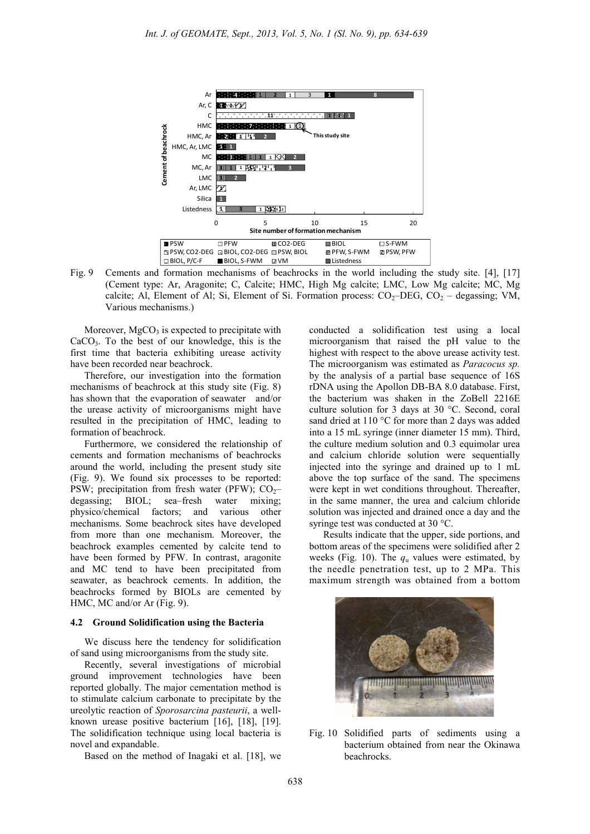

Fig. 9 Cements and formation mechanisms of beachrocks in the world including the study site. [4], [17] (Cement type: Ar, Aragonite; C, Calcite; HMC, High Mg calcite; LMC, Low Mg calcite; MC, Mg calcite; Al, Element of Al; Si, Element of Si. Formation process:  $CO<sub>2</sub>$ -DEG,  $CO<sub>2</sub>$  – degassing; VM, Various mechanisms.)

Moreover,  $MgCO<sub>3</sub>$  is expected to precipitate with  $CaCO<sub>3</sub>$ . To the best of our knowledge, this is the first time that bacteria exhibiting urease activity have been recorded near beachrock.

Therefore, our investigation into the formation mechanisms of beachrock at this study site (Fig. 8) has shown that the evaporation of seawater and/or the urease activity of microorganisms might have resulted in the precipitation of HMC, leading to formation of beachrock.

Furthermore, we considered the relationship of cements and formation mechanisms of beachrocks around the world, including the present study site (Fig. 9). We found six processes to be reported: PSW; precipitation from fresh water (PFW);  $CO<sub>2</sub>$ -<br>degassing; BIOL; sea–fresh water mixing; degassing; BIOL; sea–fresh water mixing; physico/chemical factors; and various other mechanisms. Some beachrock sites have developed from more than one mechanism. Moreover, the beachrock examples cemented by calcite tend to have been formed by PFW. In contrast, aragonite and MC tend to have been precipitated from seawater, as beachrock cements. In addition, the beachrocks formed by BIOLs are cemented by HMC, MC and/or Ar (Fig. 9).

#### **4.2 Ground Solidification using the Bacteria**

We discuss here the tendency for solidification of sand using microorganisms from the study site.

Recently, several investigations of microbial ground improvement technologies have been reported globally. The major cementation method is to stimulate calcium carbonate to precipitate by the ureolytic reaction of *Sporosarcina pasteurii*, a wellknown urease positive bacterium [16], [18], [19]. The solidification technique using local bacteria is novel and expandable.

Based on the method of Inagaki et al. [18], we

conducted a solidification test using a local microorganism that raised the pH value to the highest with respect to the above urease activity test. The microorganism was estimated as *Paracocus sp.* by the analysis of a partial base sequence of 16S rDNA using the Apollon DB-BA 8.0 database. First, the bacterium was shaken in the ZoBell 2216E culture solution for 3 days at 30 °C. Second, coral sand dried at 110 °C for more than 2 days was added into a 15 mL syringe (inner diameter 15 mm). Third, the culture medium solution and 0.3 equimolar urea and calcium chloride solution were sequentially injected into the syringe and drained up to 1 mL above the top surface of the sand. The specimens were kept in wet conditions throughout. Thereafter, in the same manner, the urea and calcium chloride solution was injected and drained once a day and the syringe test was conducted at 30 °C.

Results indicate that the upper, side portions, and bottom areas of the specimens were solidified after 2 weeks (Fig. 10). The  $q_u$  values were estimated, by the needle penetration test, up to 2 MPa. This maximum strength was obtained from a bottom



Fig. 10 Solidified parts of sediments using a bacterium obtained from near the Okinawa beachrocks.